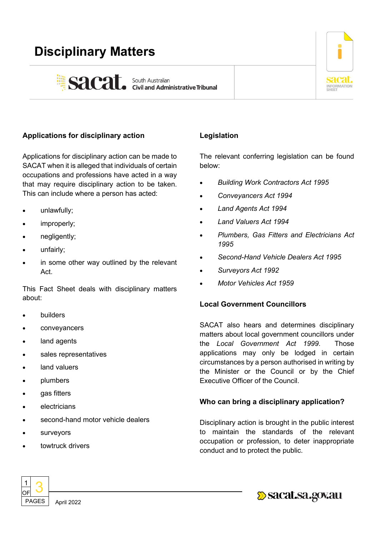# **Disciplinary Matters**





## **Applications for disciplinary action**

Applications for disciplinary action can be made to SACAT when it is alleged that individuals of certain occupations and professions have acted in a way that may require disciplinary action to be taken. This can include where a person has acted:

- unlawfully;
- improperly;
- negligently;
- unfairly;
- in some other way outlined by the relevant Act.

This Fact Sheet deals with disciplinary matters about:

- **builders**
- conveyancers
- land agents
- sales representatives
- land valuers
- plumbers
- gas fitters
- **electricians**
- second-hand motor vehicle dealers
- **surveyors**
- towtruck drivers

## **Legislation**

The relevant conferring legislation can be found below:

- *Building Work Contractors Act 1995*
- *Conveyancers Act 1994*
- *Land Agents Act 1994*
- *Land Valuers Act 1994*
- *Plumbers, Gas Fitters and Electricians Act 1995*
- *Second-Hand Vehicle Dealers Act 1995*
- *Surveyors Act 1992*
- *Motor Vehicles Act 1959*

### **Local Government Councillors**

SACAT also hears and determines disciplinary matters about local government councillors under the *Local Government Act 1999*. Those applications may only be lodged in certain circumstances by a person authorised in writing by the Minister or the Council or by the Chief Executive Officer of the Council.

### **Who can bring a disciplinary application?**

Disciplinary action is brought in the public interest to maintain the standards of the relevant occupation or profession, to deter inappropriate conduct and to protect the public.



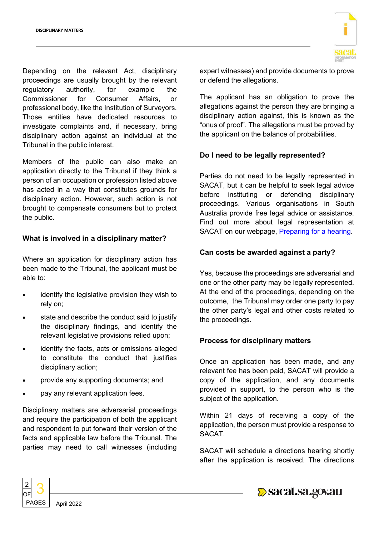Depending on the relevant Act, disciplinary proceedings are usually brought by the relevant regulatory authority, for example the Commissioner for Consumer Affairs, or professional body, like the Institution of Surveyors. Those entities have dedicated resources to investigate complaints and, if necessary, bring disciplinary action against an individual at the Tribunal in the public interest.

Members of the public can also make an application directly to the Tribunal if they think a person of an occupation or profession listed above has acted in a way that constitutes grounds for disciplinary action. However, such action is not brought to compensate consumers but to protect the public.

#### **What is involved in a disciplinary matter?**

Where an application for disciplinary action has been made to the Tribunal, the applicant must be able to:

- identify the legislative provision they wish to rely on;
- state and describe the conduct said to justify the disciplinary findings, and identify the relevant legislative provisions relied upon;
- identify the facts, acts or omissions alleged to constitute the conduct that justifies disciplinary action;
- provide any supporting documents; and
- pay any relevant application fees.

Disciplinary matters are adversarial proceedings and require the participation of both the applicant and respondent to put forward their version of the facts and applicable law before the Tribunal. The parties may need to call witnesses (including



expert witnesses) and provide documents to prove or defend the allegations.

The applicant has an obligation to prove the allegations against the person they are bringing a disciplinary action against, this is known as the "onus of proof". The allegations must be proved by the applicant on the balance of probabilities.

### **Do I need to be legally represented?**

Parties do not need to be legally represented in SACAT, but it can be helpful to seek legal advice before instituting or defending disciplinary proceedings. Various organisations in South Australia provide free legal advice or assistance. Find out more about legal representation at SACAT on our webpage, [Preparing for a hearing.](https://www.sacat.sa.gov.au/applications-and-hearings/hearings/preparing-for-a-hearing)

#### **Can costs be awarded against a party?**

Yes, because the proceedings are adversarial and one or the other party may be legally represented. At the end of the proceedings, depending on the outcome, the Tribunal may order one party to pay the other party's legal and other costs related to the proceedings.

### **Process for disciplinary matters**

Once an application has been made, and any relevant fee has been paid, SACAT will provide a copy of the application, and any documents provided in support, to the person who is the subject of the application.

Within 21 days of receiving a copy of the application, the person must provide a response to SACAT.

SACAT will schedule a directions hearing shortly after the application is received. The directions